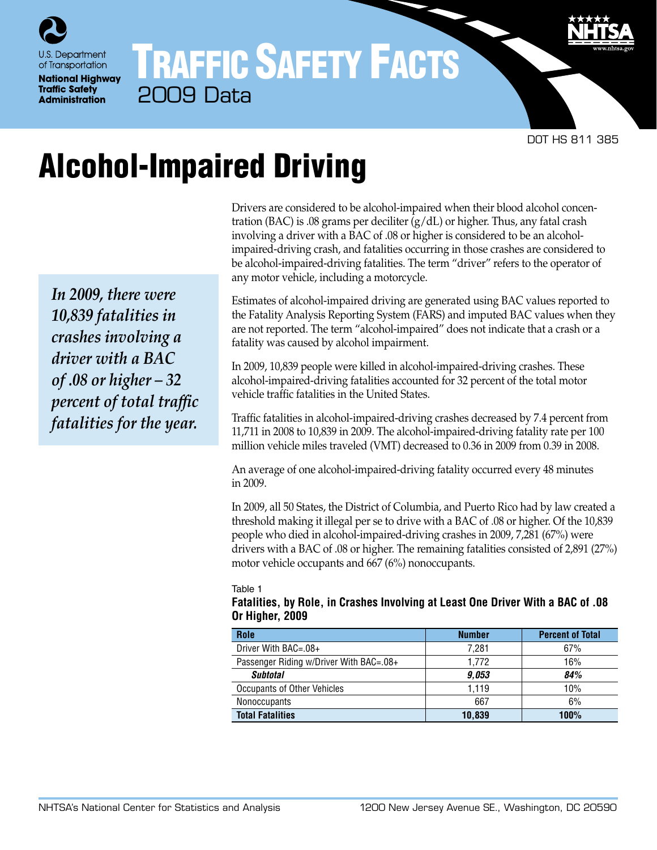

# TRAFFIC SAFETY FACTS 2009 Data

DOT HS 811 385

# Alcohol-Impaired Driving

*In 2009, there were 10,839 fatalities in crashes involving a driver with a BAC of .08 or higher – 32 percent of total traffic fatalities for the year.*

Drivers are considered to be alcohol-impaired when their blood alcohol concentration (BAC) is .08 grams per deciliter  $(g/dL)$  or higher. Thus, any fatal crash involving a driver with a BAC of .08 or higher is considered to be an alcoholimpaired-driving crash, and fatalities occurring in those crashes are considered to be alcohol-impaired-driving fatalities. The term "driver" refers to the operator of any motor vehicle, including a motorcycle.

Estimates of alcohol-impaired driving are generated using BAC values reported to the Fatality Analysis Reporting System (FARS) and imputed BAC values when they are not reported. The term "alcohol-impaired" does not indicate that a crash or a fatality was caused by alcohol impairment.

In 2009, 10,839 people were killed in alcohol-impaired-driving crashes. These alcohol-impaired-driving fatalities accounted for 32 percent of the total motor vehicle traffic fatalities in the United States.

Traffic fatalities in alcohol-impaired-driving crashes decreased by 7.4 percent from 11,711 in 2008 to 10,839 in 2009. The alcohol-impaired-driving fatality rate per 100 million vehicle miles traveled (VMT) decreased to 0.36 in 2009 from 0.39 in 2008.

An average of one alcohol-impaired-driving fatality occurred every 48 minutes in 2009.

In 2009, all 50 States, the District of Columbia, and Puerto Rico had by law created a threshold making it illegal per se to drive with a BAC of .08 or higher. Of the 10,839 people who died in alcohol-impaired-driving crashes in 2009, 7,281 (67%) were drivers with a BAC of .08 or higher. The remaining fatalities consisted of 2,891 (27%) motor vehicle occupants and 667 (6%) nonoccupants.

Table 1

#### **Fatalities, by Role, in Crashes Involving at Least One Driver With a BAC of .08 Or Higher, 2009**

| Role                                    | <b>Number</b> | <b>Percent of Total</b> |
|-----------------------------------------|---------------|-------------------------|
| Driver With BAC=.08+                    | 7.281         | 67%                     |
| Passenger Riding w/Driver With BAC=.08+ | 1.772         | 16%                     |
| <b>Subtotal</b>                         | 9.053         | 84%                     |
| Occupants of Other Vehicles             | 1.119         | 10%                     |
| <b>Nonoccupants</b>                     | 667           | 6%                      |
| <b>Total Fatalities</b>                 | 10,839        | 100%                    |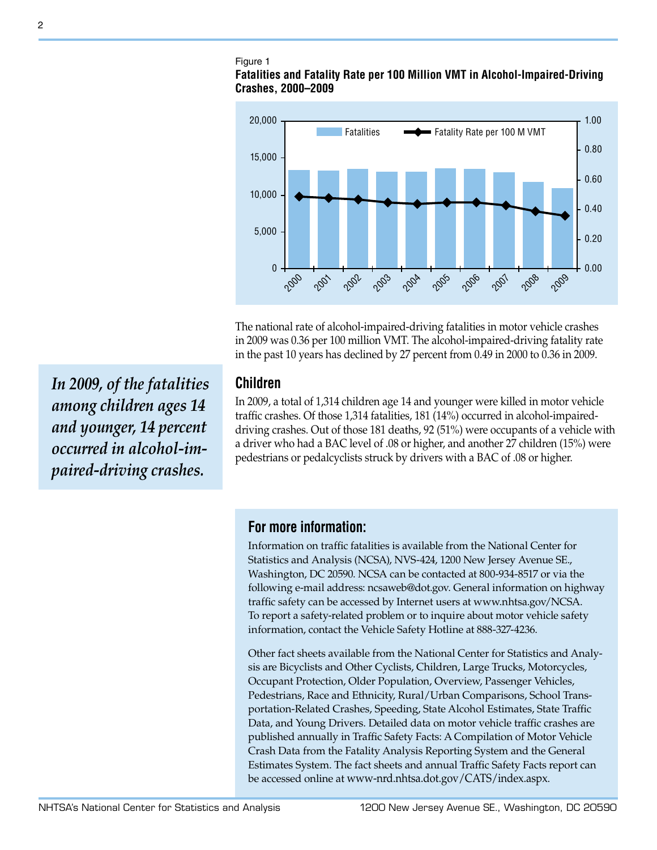### Figure 1

#### **Fatalities and Fatality Rate per 100 Million VMT in Alcohol-Impaired-Driving Crashes, 2000–2009**



The national rate of alcohol-impaired-driving fatalities in motor vehicle crashes in 2009 was 0.36 per 100 million VMT. The alcohol-impaired-driving fatality rate in the past 10 years has declined by 27 percent from 0.49 in 2000 to 0.36 in 2009.

## **Children**

In 2009, a total of 1,314 children age 14 and younger were killed in motor vehicle traffic crashes. Of those 1,314 fatalities, 181 (14%) occurred in alcohol-impaireddriving crashes. Out of those 181 deaths, 92 (51%) were occupants of a vehicle with a driver who had a BAC level of .08 or higher, and another 27 children (15%) were pedestrians or pedalcyclists struck by drivers with a BAC of .08 or higher.

**For more information:**

Information on traffic fatalities is available from the National Center for Statistics and Analysis (NCSA), NVS-424, 1200 New Jersey Avenue SE., Washington, DC 20590. NCSA can be contacted at 800-934-8517 or via the following e-mail address: [ncsaweb@dot.gov.](mailto:ncsaweb%40dot.gov?subject=) General information on highway traffic safety can be accessed by Internet users at [www.nhtsa.gov/NCSA.](www.nhtsa.gov/NCSA) To report a safety-related problem or to inquire about motor vehicle safety information, contact the Vehicle Safety Hotline at 888-327-4236.

Other fact sheets available from the National Center for Statistics and Analysis are Bicyclists and Other Cyclists, Children, Large Trucks, Motorcycles, Occupant Protection, Older Population, Overview, Passenger Vehicles, Pedestrians, Race and Ethnicity, Rural/Urban Comparisons, School Transportation-Related Crashes, Speeding, State Alcohol Estimates, State Traffic Data, and Young Drivers. Detailed data on motor vehicle traffic crashes are published annually in Traffic Safety Facts: A Compilation of Motor Vehicle Crash Data from the Fatality Analysis Reporting System and the General Estimates System. The fact sheets and annual Traffic Safety Facts report can be accessed online at [www-nrd.nhtsa.dot.gov/CATS/index.aspx](http://www-nrd.nhtsa.dot.gov/CATS/index.aspx).

*In 2009, of the fatalities among children ages 14 and younger, 14 percent occurred in alcohol-impaired-driving crashes.*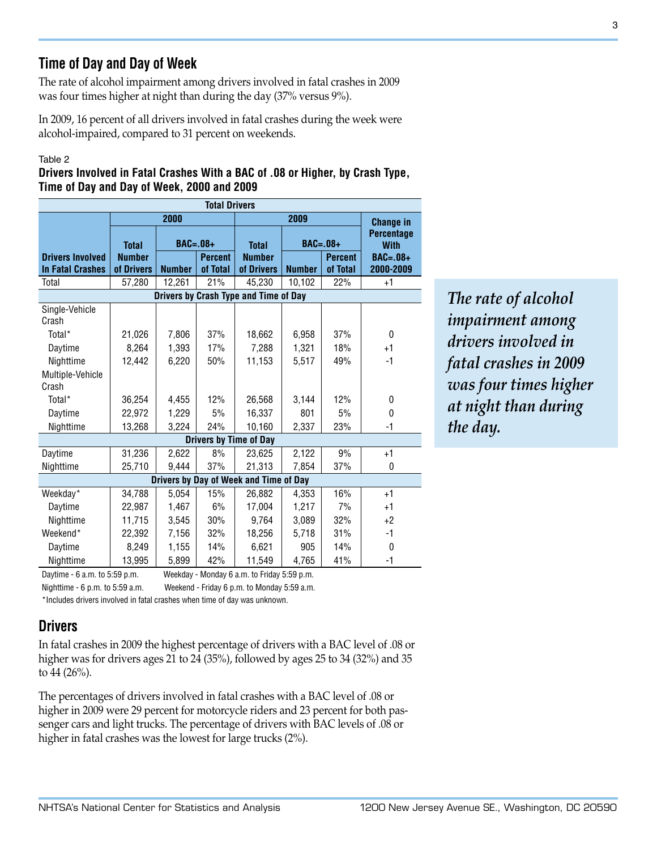# **Time of Day and Day of Week**

The rate of alcohol impairment among drivers involved in fatal crashes in 2009 was four times higher at night than during the day (37% versus 9%).

In 2009, 16 percent of all drivers involved in fatal crashes during the week were alcohol-impaired, compared to 31 percent on weekends.

#### Table 2

#### **Drivers Involved in Fatal Crashes With a BAC of .08 or Higher, by Crash Type, Time of Day and Day of Week, 2000 and 2009**

| <b>Total Drivers</b>                   |               |                |          |                               |                  |                                  |            |  |  |  |
|----------------------------------------|---------------|----------------|----------|-------------------------------|------------------|----------------------------------|------------|--|--|--|
|                                        |               | 2000           |          |                               | <b>Change in</b> |                                  |            |  |  |  |
|                                        | <b>Total</b>  | $BAC=.08+$     |          | <b>Total</b>                  | <b>BAC=.08+</b>  | <b>Percentage</b><br><b>With</b> |            |  |  |  |
| <b>Drivers Involved</b>                | <b>Number</b> | <b>Percent</b> |          | <b>Number</b>                 | <b>Percent</b>   |                                  | $BAC=.08+$ |  |  |  |
| <b>In Fatal Crashes</b>                | of Drivers    | <b>Number</b>  | of Total | of Drivers                    | <b>Number</b>    | of Total                         | 2000-2009  |  |  |  |
| Total                                  | 57,280        | 12,261         | 21%      | 45,230                        | 10,102           | 22%                              | $+1$       |  |  |  |
| Drivers by Crash Type and Time of Day  |               |                |          |                               |                  |                                  |            |  |  |  |
| Single-Vehicle<br>Crash                |               |                |          |                               |                  |                                  |            |  |  |  |
| Total*                                 | 21,026        | 7,806          | 37%      | 18,662                        | 6,958            | 37%                              | 0          |  |  |  |
| Daytime                                | 8.264         | 1,393          | 17%      | 7,288                         | 1,321            | 18%                              | $+1$       |  |  |  |
| Nighttime                              | 12,442        | 6,220          | 50%      | 11,153                        | 5,517            | 49%                              | -1         |  |  |  |
| Multiple-Vehicle                       |               |                |          |                               |                  |                                  |            |  |  |  |
| Crash                                  |               |                |          |                               |                  |                                  |            |  |  |  |
| Total <sup>*</sup>                     | 36,254        | 4,455          | 12%      | 26,568                        | 3,144            | 12%                              | 0          |  |  |  |
| Daytime                                | 22,972        | 1,229          | 5%       | 16,337                        | 801              | 5%                               | $\theta$   |  |  |  |
| Nighttime                              | 13,268        | 3,224          | 24%      | 10,160                        | 2,337            | 23%                              | $-1$       |  |  |  |
|                                        |               |                |          | <b>Drivers by Time of Day</b> |                  |                                  |            |  |  |  |
| Daytime                                | 31,236        | 2,622          | 8%       | 23,625                        | 2,122            | 9%                               | $+1$       |  |  |  |
| Nighttime                              | 25,710        | 9,444          | 37%      | 21,313                        | 7,854            | 37%                              | 0          |  |  |  |
| Drivers by Day of Week and Time of Day |               |                |          |                               |                  |                                  |            |  |  |  |
| Weekday*                               | 34,788        | 5,054          | 15%      | 26,882                        | 4,353            | 16%                              | $+1$       |  |  |  |
| Daytime                                | 22,987        | 1,467          | 6%       | 17,004                        | 1,217            | 7%                               | $+1$       |  |  |  |
| Nighttime                              | 11,715        | 3,545          | 30%      | 9.764                         | 3,089            | 32%                              | $+2$       |  |  |  |
| Weekend*                               | 22.392        | 7,156          | 32%      | 18,256                        | 5,718            | 31%                              | -1         |  |  |  |
| Daytime                                | 8,249         | 1,155          | 14%      | 6,621                         | 905              | 14%                              | 0          |  |  |  |
| Nighttime                              | 13,995        | 5,899          | 42%      | 11,549                        | 4,765            | 41%                              | $-1$       |  |  |  |

*The rate of alcohol impairment among drivers involved in fatal crashes in 2009 was four times higher at night than during the day.*

Daytime - 6 a.m. to 5:59 p.m. Weekday - Monday 6 a.m. to Friday 5:59 p.m.

Nighttime - 6 p.m. to 5:59 a.m. Weekend - Friday 6 p.m. to Monday 5:59 a.m.

\*Includes drivers involved in fatal crashes when time of day was unknown.

# **Drivers**

In fatal crashes in 2009 the highest percentage of drivers with a BAC level of .08 or higher was for drivers ages 21 to 24 (35%), followed by ages 25 to 34 (32%) and 35 to 44 (26%).

The percentages of drivers involved in fatal crashes with a BAC level of .08 or higher in 2009 were 29 percent for motorcycle riders and 23 percent for both passenger cars and light trucks. The percentage of drivers with BAC levels of .08 or higher in fatal crashes was the lowest for large trucks (2%).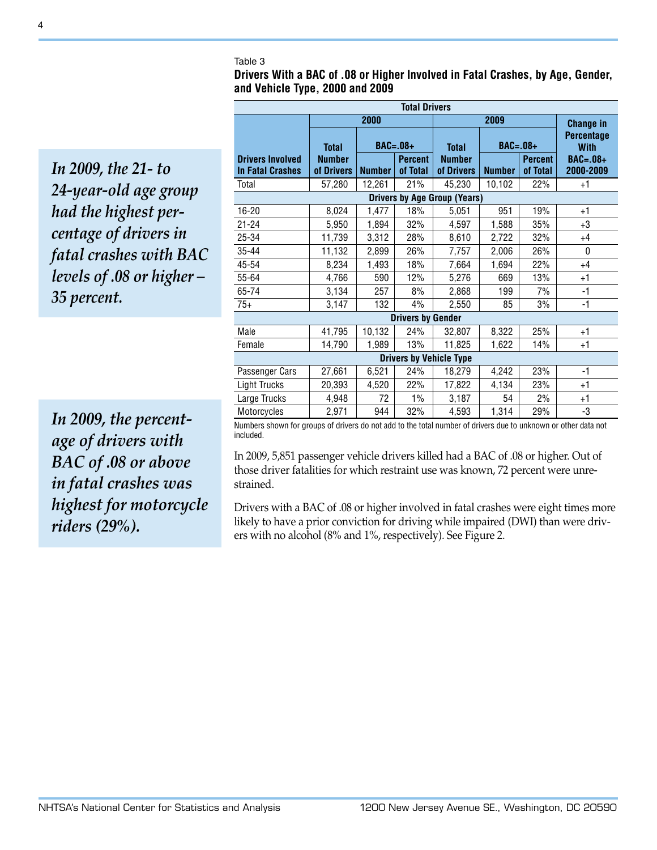#### Table 3

**Drivers With a BAC of .08 or Higher Involved in Fatal Crashes, by Age, Gender, and Vehicle Type, 2000 and 2009**

*In 2009, the 21- to 24-year-old age group had the highest percentage of drivers in fatal crashes with BAC levels of .08 or higher – 35 percent.*

| <b>Total Drivers</b>                               |                             |               |                            |                             |                  |                            |                                  |  |  |
|----------------------------------------------------|-----------------------------|---------------|----------------------------|-----------------------------|------------------|----------------------------|----------------------------------|--|--|
|                                                    |                             | 2000          |                            |                             | <b>Change in</b> |                            |                                  |  |  |
|                                                    | <b>Total</b>                | $BAC = .08 +$ |                            | <b>Total</b>                | <b>BAC=.08+</b>  |                            | <b>Percentage</b><br><b>With</b> |  |  |
| <b>Drivers Involved</b><br><b>In Fatal Crashes</b> | <b>Number</b><br>of Drivers | <b>Number</b> | <b>Percent</b><br>of Total | <b>Number</b><br>of Drivers | <b>Number</b>    | <b>Percent</b><br>of Total | $BAC=.08+$<br>2000-2009          |  |  |
| Total                                              | 57,280                      | 12,261        | 21%                        | 45,230                      | 10,102           | 22%                        | $+1$                             |  |  |
| <b>Drivers by Age Group (Years)</b>                |                             |               |                            |                             |                  |                            |                                  |  |  |
| 16-20                                              | 8,024                       | 1,477         | 18%                        | 5,051                       | 951              | 19%                        | +1                               |  |  |
| $21 - 24$                                          | 5,950                       | 1,894         | 32%                        | 4,597                       | 1,588            | 35%                        | $+3$                             |  |  |
| 25-34                                              | 11,739                      | 3,312         | 28%                        | 8,610                       | 2,722            | 32%                        | $+4$                             |  |  |
| 35-44                                              | 11,132                      | 2,899         | 26%                        | 7,757                       | 2,006            | 26%                        | $\mathbf{0}$                     |  |  |
| 45-54                                              | 8,234                       | 1,493         | 18%                        | 7,664                       | 1,694            | 22%                        | $+4$                             |  |  |
| 55-64                                              | 4,766                       | 590           | 12%                        | 5,276                       | 669              | 13%                        | $+1$                             |  |  |
| 65-74                                              | 3,134                       | 257           | 8%                         | 2,868                       | 199              | 7%                         | $-1$                             |  |  |
| $75+$                                              | 3,147                       | 132           | 4%                         | 2,550                       | 85               | 3%                         | $-1$                             |  |  |
| <b>Drivers by Gender</b>                           |                             |               |                            |                             |                  |                            |                                  |  |  |
| Male                                               | 41,795                      | 10,132        | 24%                        | 32,807                      | 8,322            | 25%                        | +1                               |  |  |
| Female                                             | 14,790                      | 1,989         | 13%                        | 11,825                      | 1,622            | 14%                        | +1                               |  |  |
| <b>Drivers by Vehicle Type</b>                     |                             |               |                            |                             |                  |                            |                                  |  |  |
| Passenger Cars                                     | 27,661                      | 6,521         | 24%                        | 18,279                      | 4,242            | 23%                        | $-1$                             |  |  |
| <b>Light Trucks</b>                                | 20,393                      | 4,520         | 22%                        | 17,822                      | 4,134            | 23%                        | $+1$                             |  |  |
| Large Trucks                                       | 4,948                       | 72            | $1\%$                      | 3,187                       | 54               | 2%                         | $+1$                             |  |  |
| Motorcycles                                        | 2,971                       | 944           | 32%                        | 4,593                       | 1,314            | 29%                        | -3                               |  |  |

*In 2009, the percentage of drivers with BAC of .08 or above in fatal crashes was highest for motorcycle riders (29%).*

Numbers shown for groups of drivers do not add to the total number of drivers due to unknown or other data not included.

In 2009, 5,851 passenger vehicle drivers killed had a BAC of .08 or higher. Out of those driver fatalities for which restraint use was known, 72 percent were unrestrained.

Drivers with a BAC of .08 or higher involved in fatal crashes were eight times more likely to have a prior conviction for driving while impaired (DWI) than were drivers with no alcohol (8% and 1%, respectively). See Figure 2.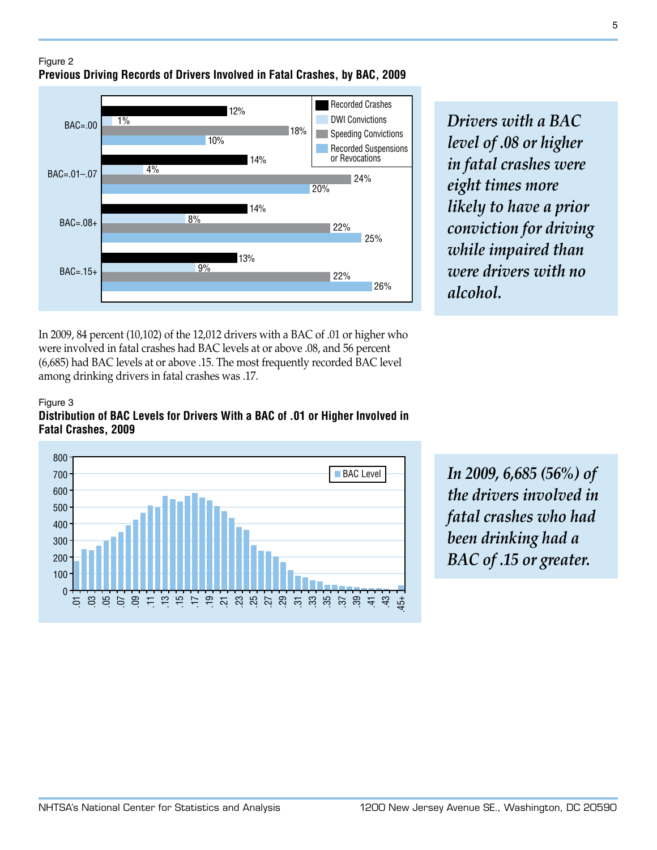Figure 2 **Previous Driving Records of Drivers Involved in Fatal Crashes, by BAC, 2009**



*Drivers with a BAC level of .08 or higher in fatal crashes were eight times more likely to have a prior conviction for driving while impaired than were drivers with no alcohol.*

In 2009, 84 percent (10,102) of the 12,012 drivers with a BAC of .01 or higher who were involved in fatal crashes had BAC levels at or above .08, and 56 percent (6,685) had BAC levels at or above .15. The most frequently recorded BAC level among drinking drivers in fatal crashes was .17.

#### Figure 3





*In 2009, 6,685 (56%) of the drivers involved in fatal crashes who had been drinking had a BAC of .15 or greater.*